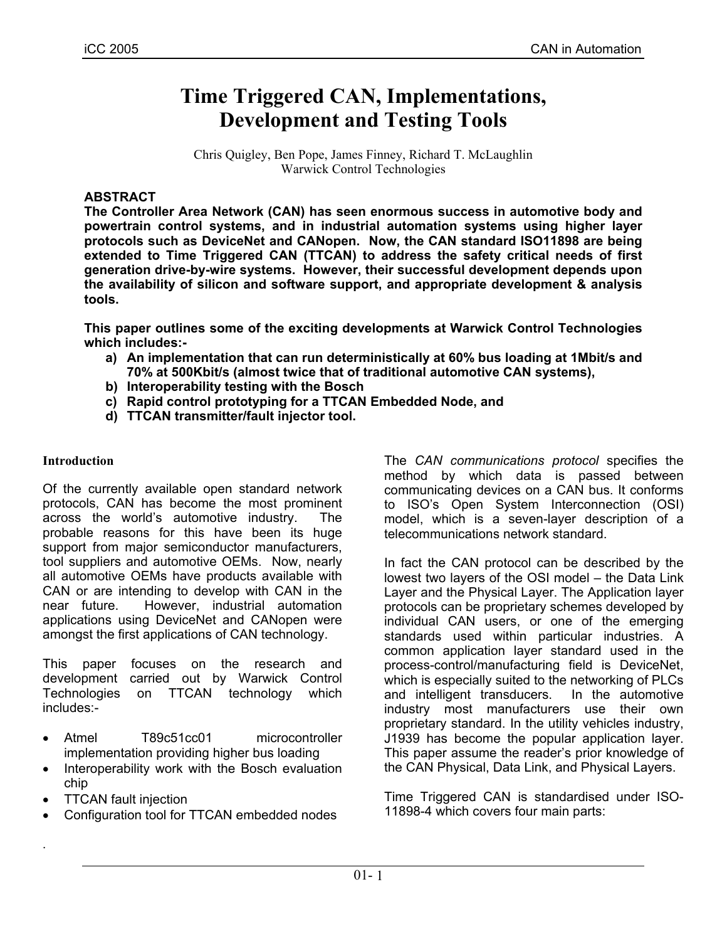# **Time Triggered CAN, Implementations, Development and Testing Tools**

Chris Quigley, Ben Pope, James Finney, Richard T. McLaughlin Warwick Control Technologies

## **ABSTRACT**

**The Controller Area Network (CAN) has seen enormous success in automotive body and powertrain control systems, and in industrial automation systems using higher layer protocols such as DeviceNet and CANopen. Now, the CAN standard ISO11898 are being extended to Time Triggered CAN (TTCAN) to address the safety critical needs of first generation drive-by-wire systems. However, their successful development depends upon the availability of silicon and software support, and appropriate development & analysis tools.** 

**This paper outlines some of the exciting developments at Warwick Control Technologies which includes:-** 

- **a) An implementation that can run deterministically at 60% bus loading at 1Mbit/s and 70% at 500Kbit/s (almost twice that of traditional automotive CAN systems),**
- **b) Interoperability testing with the Bosch**
- **c) Rapid control prototyping for a TTCAN Embedded Node, and**
- **d) TTCAN transmitter/fault injector tool.**

#### **Introduction**

Of the currently available open standard network protocols, CAN has become the most prominent across the world's automotive industry. The probable reasons for this have been its huge support from major semiconductor manufacturers, tool suppliers and automotive OEMs. Now, nearly all automotive OEMs have products available with CAN or are intending to develop with CAN in the near future. However, industrial automation applications using DeviceNet and CANopen were amongst the first applications of CAN technology.

This paper focuses on the research and development carried out by Warwick Control Technologies on TTCAN technology which includes:-

- Atmel T89c51cc01 microcontroller implementation providing higher bus loading
- Interoperability work with the Bosch evaluation chip
- TTCAN fault injection

.

• Configuration tool for TTCAN embedded nodes

The *CAN communications protocol* specifies the method by which data is passed between communicating devices on a CAN bus. It conforms to ISO's Open System Interconnection (OSI) model, which is a seven-layer description of a telecommunications network standard.

In fact the CAN protocol can be described by the lowest two layers of the OSI model – the Data Link Layer and the Physical Layer. The Application layer protocols can be proprietary schemes developed by individual CAN users, or one of the emerging standards used within particular industries. A common application layer standard used in the process-control/manufacturing field is DeviceNet, which is especially suited to the networking of PLCs and intelligent transducers. In the automotive industry most manufacturers use their own proprietary standard. In the utility vehicles industry, J1939 has become the popular application layer. This paper assume the reader's prior knowledge of the CAN Physical, Data Link, and Physical Layers.

Time Triggered CAN is standardised under ISO-11898-4 which covers four main parts: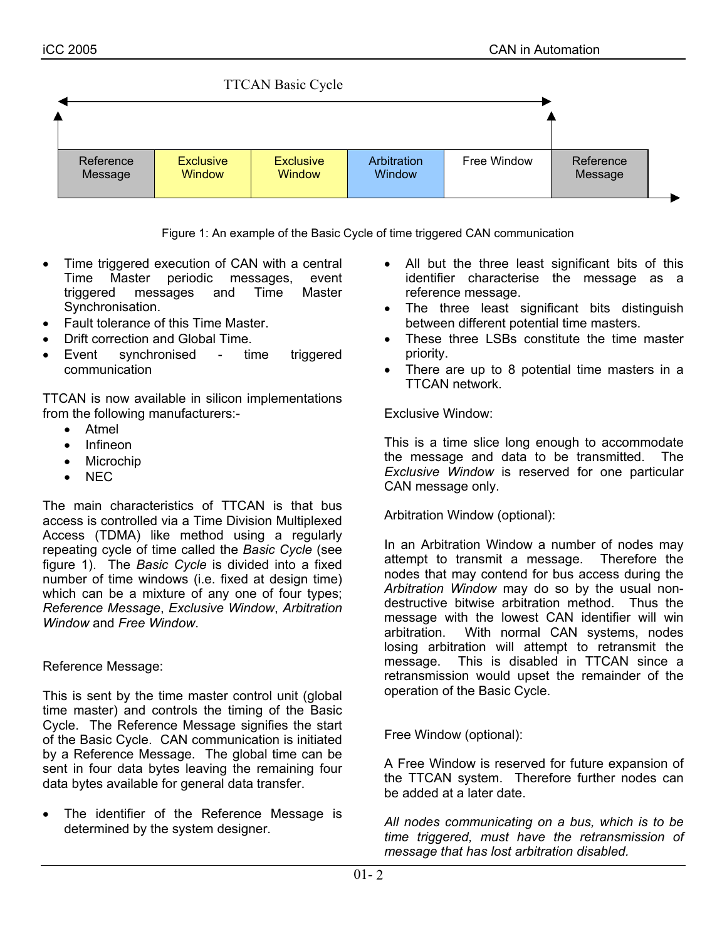

Figure 1: An example of the Basic Cycle of time triggered CAN communication

- Time triggered execution of CAN with a central Time Master periodic messages, event triggered messages and Time Master Synchronisation.
- Fault tolerance of this Time Master.
- Drift correction and Global Time.
- Event synchronised time triggered communication

TTCAN is now available in silicon implementations from the following manufacturers:-

- Atmel
- Infineon
- **Microchip**
- NEC

The main characteristics of TTCAN is that bus access is controlled via a Time Division Multiplexed Access (TDMA) like method using a regularly repeating cycle of time called the *Basic Cycle* (see figure 1). The *Basic Cycle* is divided into a fixed number of time windows (i.e. fixed at design time) which can be a mixture of any one of four types; *Reference Message*, *Exclusive Window*, *Arbitration Window* and *Free Window*.

Reference Message:

This is sent by the time master control unit (global time master) and controls the timing of the Basic Cycle. The Reference Message signifies the start of the Basic Cycle. CAN communication is initiated by a Reference Message. The global time can be sent in four data bytes leaving the remaining four data bytes available for general data transfer.

The identifier of the Reference Message is determined by the system designer.

- All but the three least significant bits of this identifier characterise the message as a reference message.
- The three least significant bits distinguish between different potential time masters.
- These three LSBs constitute the time master priority.
- There are up to 8 potential time masters in a TTCAN network.

Exclusive Window:

This is a time slice long enough to accommodate the message and data to be transmitted. The *Exclusive Window* is reserved for one particular CAN message only.

Arbitration Window (optional):

In an Arbitration Window a number of nodes may attempt to transmit a message. Therefore the nodes that may contend for bus access during the *Arbitration Window* may do so by the usual nondestructive bitwise arbitration method. Thus the message with the lowest CAN identifier will win arbitration. With normal CAN systems, nodes losing arbitration will attempt to retransmit the message. This is disabled in TTCAN since a retransmission would upset the remainder of the operation of the Basic Cycle.

Free Window (optional):

A Free Window is reserved for future expansion of the TTCAN system. Therefore further nodes can be added at a later date.

*All nodes communicating on a bus, which is to be time triggered, must have the retransmission of message that has lost arbitration disabled.*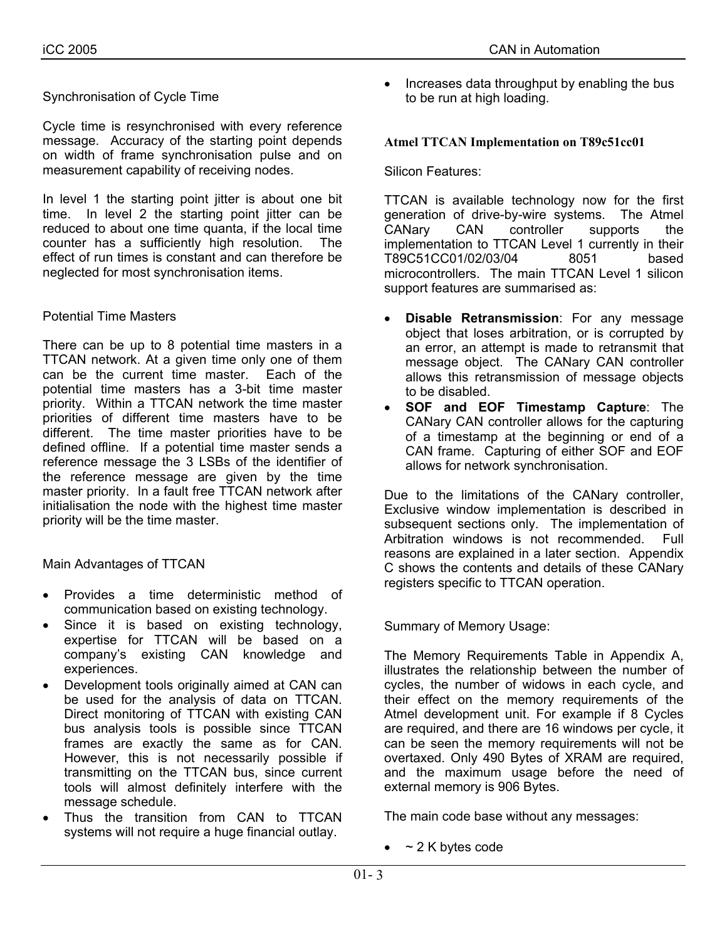Cycle time is resynchronised with every reference message. Accuracy of the starting point depends on width of frame synchronisation pulse and on measurement capability of receiving nodes.

In level 1 the starting point jitter is about one bit time. In level 2 the starting point jitter can be reduced to about one time quanta, if the local time counter has a sufficiently high resolution. The effect of run times is constant and can therefore be neglected for most synchronisation items.

#### Potential Time Masters

There can be up to 8 potential time masters in a TTCAN network. At a given time only one of them can be the current time master. Each of the potential time masters has a 3-bit time master priority. Within a TTCAN network the time master priorities of different time masters have to be different. The time master priorities have to be defined offline. If a potential time master sends a reference message the 3 LSBs of the identifier of the reference message are given by the time master priority. In a fault free TTCAN network after initialisation the node with the highest time master priority will be the time master.

Main Advantages of TTCAN

- Provides a time deterministic method of communication based on existing technology.
- Since it is based on existing technology, expertise for TTCAN will be based on a company's existing CAN knowledge and experiences.
- Development tools originally aimed at CAN can be used for the analysis of data on TTCAN. Direct monitoring of TTCAN with existing CAN bus analysis tools is possible since TTCAN frames are exactly the same as for CAN. However, this is not necessarily possible if transmitting on the TTCAN bus, since current tools will almost definitely interfere with the message schedule.
- Thus the transition from CAN to TTCAN systems will not require a huge financial outlay.
- 
- Increases data throughput by enabling the bus to be run at high loading.

#### **Atmel TTCAN Implementation on T89c51cc01**

#### Silicon Features:

TTCAN is available technology now for the first generation of drive-by-wire systems. The Atmel CANary CAN controller supports the implementation to TTCAN Level 1 currently in their T89C51CC01/02/03/04 8051 based microcontrollers. The main TTCAN Level 1 silicon support features are summarised as:

- **Disable Retransmission**: For any message object that loses arbitration, or is corrupted by an error, an attempt is made to retransmit that message object. The CANary CAN controller allows this retransmission of message objects to be disabled.
- **SOF and EOF Timestamp Capture**: The CANary CAN controller allows for the capturing of a timestamp at the beginning or end of a CAN frame. Capturing of either SOF and EOF allows for network synchronisation.

Due to the limitations of the CANary controller, Exclusive window implementation is described in subsequent sections only. The implementation of Arbitration windows is not recommended. Full reasons are explained in a later section. Appendix C shows the contents and details of these CANary registers specific to TTCAN operation.

Summary of Memory Usage:

The Memory Requirements Table in Appendix A, illustrates the relationship between the number of cycles, the number of widows in each cycle, and their effect on the memory requirements of the Atmel development unit. For example if 8 Cycles are required, and there are 16 windows per cycle, it can be seen the memory requirements will not be overtaxed. Only 490 Bytes of XRAM are required, and the maximum usage before the need of external memory is 906 Bytes.

The main code base without any messages:

 $\bullet$  ~ 2 K bytes code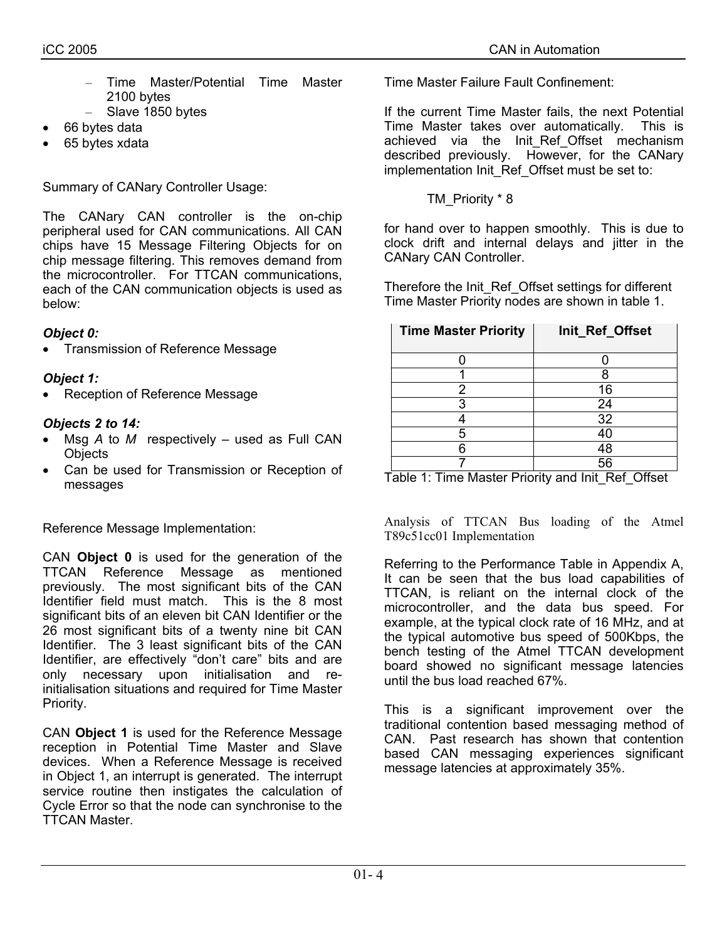- Time Master/Potential Time Master 2100 bytes
- Slave 1850 bytes
- 66 bytes data
- 65 bytes xdata

Summary of CANary Controller Usage:

The CANary CAN controller is the on-chip peripheral used for CAN communications. All CAN chips have 15 Message Filtering Objects for on chip message filtering. This removes demand from the microcontroller. For TTCAN communications, each of the CAN communication objects is used as below:

# *Object 0:*

• Transmission of Reference Message

# *Object 1:*

• Reception of Reference Message

# *Objects 2 to 14:*

- Msg *A* to *M* respectively used as Full CAN **Objects**
- Can be used for Transmission or Reception of messages

Reference Message Implementation:

CAN **Object 0** is used for the generation of the TTCAN Reference Message as mentioned previously. The most significant bits of the CAN Identifier field must match. This is the 8 most significant bits of an eleven bit CAN Identifier or the 26 most significant bits of a twenty nine bit CAN Identifier. The 3 least significant bits of the CAN Identifier, are effectively "don't care" bits and are only necessary upon initialisation and reinitialisation situations and required for Time Master Priority.

CAN **Object 1** is used for the Reference Message reception in Potential Time Master and Slave devices. When a Reference Message is received in Object 1, an interrupt is generated. The interrupt service routine then instigates the calculation of Cycle Error so that the node can synchronise to the TTCAN Master.

Time Master Failure Fault Confinement:

If the current Time Master fails, the next Potential Time Master takes over automatically. This is achieved via the Init\_Ref\_Offset mechanism described previously. However, for the CANary implementation Init\_Ref\_Offset must be set to:

TM\_Priority \* 8

for hand over to happen smoothly. This is due to clock drift and internal delays and jitter in the CANary CAN Controller.

Therefore the Init\_Ref\_Offset settings for different Time Master Priority nodes are shown in table 1.

| <b>Time Master Priority</b> | Init_Ref_Offset |  |  |  |  |
|-----------------------------|-----------------|--|--|--|--|
|                             |                 |  |  |  |  |
|                             |                 |  |  |  |  |
|                             | 16              |  |  |  |  |
| 3                           | 24              |  |  |  |  |
|                             | 32              |  |  |  |  |
| 5                           | 40              |  |  |  |  |
| ค                           | 48              |  |  |  |  |
|                             |                 |  |  |  |  |

Table 1: Time Master Priority and Init\_Ref\_Offset

Analysis of TTCAN Bus loading of the Atmel T89c51cc01 Implementation

Referring to the Performance Table in Appendix A, It can be seen that the bus load capabilities of TTCAN, is reliant on the internal clock of the microcontroller, and the data bus speed. For example, at the typical clock rate of 16 MHz, and at the typical automotive bus speed of 500Kbps, the bench testing of the Atmel TTCAN development board showed no significant message latencies until the bus load reached 67%.

This is a significant improvement over the traditional contention based messaging method of CAN. Past research has shown that contention based CAN messaging experiences significant message latencies at approximately 35%.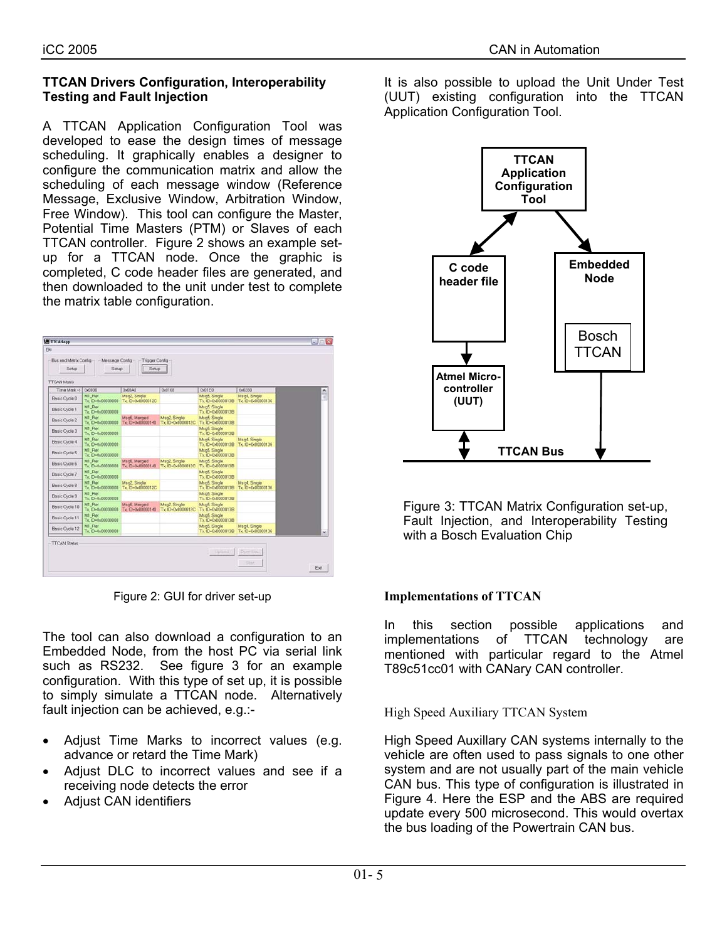### **TTCAN Drivers Configuration, Interoperability Testing and Fault Injection**

A TTCAN Application Configuration Tool was developed to ease the design times of message scheduling. It graphically enables a designer to configure the communication matrix and allow the scheduling of each message window (Reference Message, Exclusive Window, Arbitration Window, Free Window). This tool can configure the Master, Potential Time Masters (PTM) or Slaves of each TTCAN controller. Figure 2 shows an example setup for a TTCAN node. Once the graphic is completed, C code header files are generated, and then downloaded to the unit under test to complete the matrix table configuration.

| Time Mark ->   | 0x0000                      | 0x00A0                            | 0x0168                           | 0x01E0                            | 0x0280                           |
|----------------|-----------------------------|-----------------------------------|----------------------------------|-----------------------------------|----------------------------------|
| Basic Cycle 0  | M1 Ref<br>Tx: ID+0x0000000  | Msg2, Single<br>Tx ID=0x0000012C  |                                  | Msq5, Single<br>Tx ID=0x00000138  | Mtg4 Single<br>Tx ID-0.00000136  |
| Basic Cycle 1  | M1 Ref<br>Tx ID+0x0000000   |                                   |                                  | Msg5, Single<br>Tx (D-0x00000138) |                                  |
| Basic Cycle 2  | M1 Ref<br>Tx ID+0x0000000   | Mtg6; Merged<br>Tx: ID-0x00000140 | Msg2 Single<br>Tx ID-0x0000012C  | Msq5. Single<br>Tx ID-0x0000013B  |                                  |
| Basic Cycle 3  | M1 Ref<br>Tx ID-0.00000000  |                                   |                                  | Msq5, Single<br>Tx 10-0-00000013B |                                  |
| Basic Cycle 4  | M1 Ref<br>Tx ID+0x00000000  |                                   |                                  | Msq5, Single<br>Tx ID-0x0000013B  | Msg4 Single<br>Tx: ID=0:00000136 |
| Basic Cycle 5  | M1 Raf<br>Tx: ID+0x00000000 |                                   |                                  | Mtg5 Single<br>Tx. 00-0-00000013B |                                  |
| Basic Cycle 6  | M1 Raf<br>Tx ID+0x0000000   | MsgE Merged<br>Tx: ID=0x00000140  | Msg2, Single<br>Tx ID-0-0000012C | Msq5, Single<br>Tx ID-0-0000013B  |                                  |
| Basic Oycle 7  | M1 Rief<br>Tx ID-0-00000000 |                                   |                                  | Msq5. Single<br>Tx ID-0x0000013B  |                                  |
| Basic Oyde 8   | MT Ref<br>Tx ID-0-00000000  | Msg2 Single<br>Tx. ID=0x0000012C  |                                  | Msq5. Single<br>Tx ID-0x0000013B  | Msq4 Single<br>Tx ID-0-000000136 |
| Basic Cycle 9  | M1 Ref<br>Tx ID+0-00000000  |                                   |                                  | MsgS. Single<br>Tx ID-0-00000013B |                                  |
| Besic Cycle 10 | MT Ref<br>Tx ID+0-00000000  | MsgE Merged<br>Tx ID-0-000000140  | Msg2 Single<br>Tx ID-0-00000012C | Msq5 Single<br>Tx ID-0-00000013B  |                                  |
| Basic Cycle 11 | M1 Ref<br>Tx ID-0x00000000  |                                   |                                  | Msg5, Single<br>Tx ID=0x0000013B  |                                  |
| Basic Cycle 12 | MT Ref<br>Tx: ID+0x0000000  |                                   |                                  | Msg5, Single<br>Tx. ID=0x00000138 | Msq4 Single<br>Tx ID=0x00000136  |

Figure 2: GUI for driver set-up

The tool can also download a configuration to an Embedded Node, from the host PC via serial link such as RS232. See figure 3 for an example configuration. With this type of set up, it is possible to simply simulate a TTCAN node. Alternatively fault injection can be achieved, e.g.:-

- Adjust Time Marks to incorrect values (e.g. advance or retard the Time Mark)
- Adjust DLC to incorrect values and see if a receiving node detects the error
- Adjust CAN identifiers

It is also possible to upload the Unit Under Test (UUT) existing configuration into the TTCAN Application Configuration Tool.



Figure 3: TTCAN Matrix Configuration set-up, Fault Injection, and Interoperability Testing with a Bosch Evaluation Chip

## **Implementations of TTCAN**

In this section possible applications and implementations of TTCAN technology are mentioned with particular regard to the Atmel T89c51cc01 with CANary CAN controller.

High Speed Auxiliary TTCAN System

High Speed Auxillary CAN systems internally to the vehicle are often used to pass signals to one other system and are not usually part of the main vehicle CAN bus. This type of configuration is illustrated in Figure 4. Here the ESP and the ABS are required update every 500 microsecond. This would overtax the bus loading of the Powertrain CAN bus.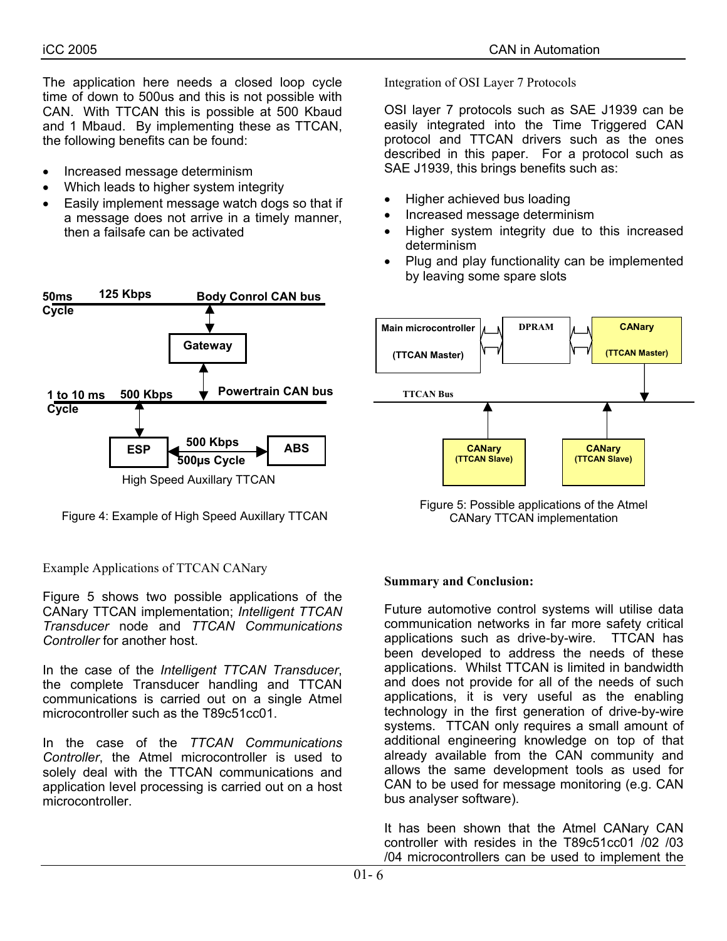The application here needs a closed loop cycle time of down to 500us and this is not possible with CAN. With TTCAN this is possible at 500 Kbaud and 1 Mbaud. By implementing these as TTCAN, the following benefits can be found:

- Increased message determinism
- Which leads to higher system integrity
- Easily implement message watch dogs so that if a message does not arrive in a timely manner, then a failsafe can be activated



Example Applications of TTCAN CANary

Figure 5 shows two possible applications of the CANary TTCAN implementation; *Intelligent TTCAN Transducer* node and *TTCAN Communications Controller* for another host.

In the case of the *Intelligent TTCAN Transducer*, the complete Transducer handling and TTCAN communications is carried out on a single Atmel microcontroller such as the T89c51cc01.

In the case of the *TTCAN Communications Controller*, the Atmel microcontroller is used to solely deal with the TTCAN communications and application level processing is carried out on a host microcontroller.

Integration of OSI Layer 7 Protocols

OSI layer 7 protocols such as SAE J1939 can be easily integrated into the Time Triggered CAN protocol and TTCAN drivers such as the ones described in this paper. For a protocol such as SAE J1939, this brings benefits such as:

- Higher achieved bus loading
- Increased message determinism
- Higher system integrity due to this increased determinism
- Plug and play functionality can be implemented by leaving some spare slots



Figure 5: Possible applications of the Atmel<br>CANary TTCAN CANary TTCAN CANary TTCAN CANary TTCAN implementation

#### **Summary and Conclusion:**

Future automotive control systems will utilise data communication networks in far more safety critical applications such as drive-by-wire. TTCAN has been developed to address the needs of these applications. Whilst TTCAN is limited in bandwidth and does not provide for all of the needs of such applications, it is very useful as the enabling technology in the first generation of drive-by-wire systems. TTCAN only requires a small amount of additional engineering knowledge on top of that already available from the CAN community and allows the same development tools as used for CAN to be used for message monitoring (e.g. CAN bus analyser software).

It has been shown that the Atmel CANary CAN controller with resides in the T89c51cc01 /02 /03 /04 microcontrollers can be used to implement the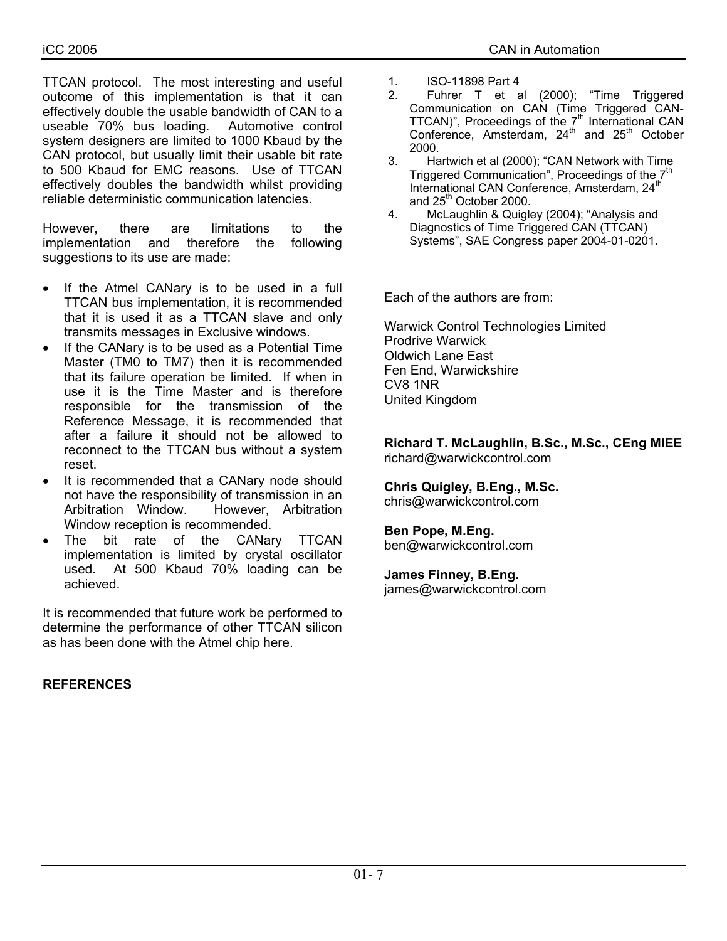TTCAN protocol. The most interesting and useful outcome of this implementation is that it can effectively double the usable bandwidth of CAN to a useable 70% bus loading. Automotive control system designers are limited to 1000 Kbaud by the CAN protocol, but usually limit their usable bit rate to 500 Kbaud for EMC reasons. Use of TTCAN effectively doubles the bandwidth whilst providing reliable deterministic communication latencies.

However, there are limitations to the implementation and therefore the following suggestions to its use are made:

- If the Atmel CANary is to be used in a full TTCAN bus implementation, it is recommended that it is used it as a TTCAN slave and only transmits messages in Exclusive windows.
- If the CANary is to be used as a Potential Time Master (TM0 to TM7) then it is recommended that its failure operation be limited. If when in use it is the Time Master and is therefore responsible for the transmission of the Reference Message, it is recommended that after a failure it should not be allowed to reconnect to the TTCAN bus without a system reset.
- It is recommended that a CANary node should not have the responsibility of transmission in an Arbitration Window. However, Arbitration Window reception is recommended.
- The bit rate of the CANary TTCAN implementation is limited by crystal oscillator used. At 500 Kbaud 70% loading can be achieved.

It is recommended that future work be performed to determine the performance of other TTCAN silicon as has been done with the Atmel chip here.

## **REFERENCES**

- 1. ISO-11898 Part 4
- 2. Fuhrer T et al (2000); "Time Triggered Communication on CAN (Time Triggered CAN-TTCAN)", Proceedings of the  $7<sup>th</sup>$  International CAN Conference, Amsterdam,  $24<sup>th</sup>$  and  $25<sup>th</sup>$  October 2000.
- 3. Hartwich et al (2000); "CAN Network with Time Triggered Communication", Proceedings of the 7<sup>th</sup> International CAN Conference, Amsterdam, 24<sup>th</sup> and 25<sup>th</sup> October 2000.
- 4. McLaughlin & Quigley (2004); "Analysis and Diagnostics of Time Triggered CAN (TTCAN) Systems", SAE Congress paper 2004-01-0201.

Each of the authors are from:

Warwick Control Technologies Limited Prodrive Warwick Oldwich Lane East Fen End, Warwickshire CV8 1NR United Kingdom

**Richard T. McLaughlin, B.Sc., M.Sc., CEng MIEE**  richard@warwickcontrol.com

**Chris Quigley, B.Eng., M.Sc.**  chris@warwickcontrol.com

### **Ben Pope, M.Eng.**

ben@warwickcontrol.com

#### **James Finney, B.Eng.**

james@warwickcontrol.com